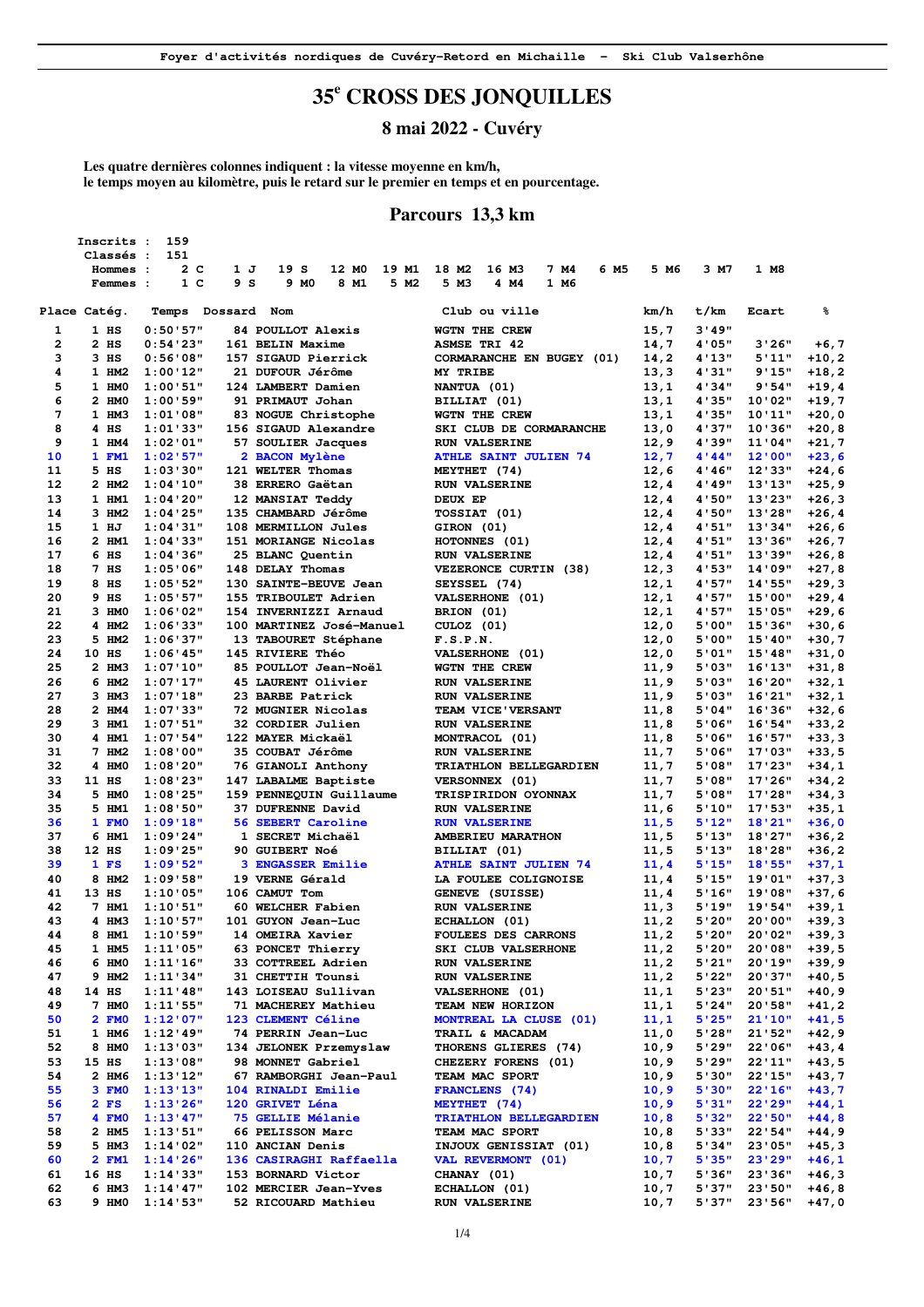## **35<sup>e</sup> CROSS DES JONQUILLES**

**8 mai 2022 - Cuvéry** 

**Les quatre dernières colonnes indiquent : la vitesse moyenne en km/h, le temps moyen au kilomètre, puis le retard sur le premier en temps et en pourcentage.** 

#### **Parcours 13,3 km**

|    | Inscrits :   | 159                   |                                  |                                |              |        |         |          |
|----|--------------|-----------------------|----------------------------------|--------------------------------|--------------|--------|---------|----------|
|    | Classés :    | 151                   |                                  |                                |              |        |         |          |
|    | Hommes :     | 2 C<br>1 J            | 19 S<br>12 MO<br>19 M1           | 6 M5<br>18 M2<br>16 M3<br>7 M4 | 5 M6         | 3 M7   | 1 M8    |          |
|    | Femmes :     | 1 <sup>c</sup><br>9 S | 9 MO<br>8 M1<br>5 M <sub>2</sub> | 5 M3<br>4 M4<br>1 M6           |              |        |         |          |
|    |              |                       |                                  |                                |              |        |         |          |
|    | Place Catég. | Temps Dossard Nom     |                                  | Club ou ville                  | km/h         | t/km   | Ecart   | ℁        |
| 1  | 1 HS         | 0:50:57"              | <b>84 POULLOT Alexis</b>         | WGTN THE CREW                  | 15,7         | 3'49'' |         |          |
| 2  | 2 HS         | 0:54'23"              | 161 BELIN Maxime                 | <b>ASMSE TRI 42</b>            | 14,7         | 4'05"  | 3'26"   | $+6,7$   |
| 3  | $3$ HS       | 0:56'08"              | 157 SIGAUD Pierrick              | CORMARANCHE EN BUGEY (01)      | 14,2         | 4'13"  | 5'11"   | $+10, 2$ |
| 4  | 1 HM2        | 1:00'12"              | 21 DUFOUR Jérôme                 | MY TRIBE                       | 13,3         | 4'31"  | 9'15"   | $+18, 2$ |
| 5  | 1 HMO        | 1:00:51"              | 124 LAMBERT Damien               | NANTUA (01)                    | 13,1         | 4'34"  | 9'54"   | +19,4    |
| 6  | 2 HM0        | 1:00'59"              | 91 PRIMAUT Johan                 | BILLIAT (01)                   | 13,1         | 4'35"  | 10'02"  | +19,7    |
| 7  | 1 HM3        | 1:01:08"              | 83 NOGUE Christophe              | WGTN THE CREW                  | 13,1         | 4'35"  | 10'11"  | +20,0    |
| 8  | $4$ HS       |                       |                                  |                                |              | 4'37"  | 10'36"  |          |
| 9  |              | 1:01'33"              | 156 SIGAUD Alexandre             | SKI CLUB DE CORMARANCHE        | 13,0         |        | 11'04"  | +20,8    |
|    | $1$ HM4      | 1:02:01"              | 57 SOULIER Jacques               | <b>RUN VALSERINE</b>           | 12,9         | 4'39"  |         | +21,7    |
| 10 | 1 FM1        | 1:02:57"              | 2 BACON Mylène                   | <b>ATHLE SAINT JULIEN 74</b>   | 12,7         | 4'44'' | 12'00"  | $+23,6$  |
| 11 | $5$ HS       | 1:03'30"              | 121 WELTER Thomas                | MEYTHET (74)                   | 12,6         | 4'46"  | 12'33"  | $+24,6$  |
| 12 | 2 HM2        | 1:04'10"              | 38 ERRERO Gaëtan                 | <b>RUN VALSERINE</b>           | 12,4         | 4'49"  | 13'13'' | +25,9    |
| 13 | 1 HM1        | 1:04'20"              | 12 MANSIAT Teddy                 | DEUX EP                        | 12,4         | 4'50"  | 13'23"  | +26,3    |
| 14 | 3 HM2        | 1:04'25"              | 135 CHAMBARD Jérôme              | <b>TOSSIAT (01)</b>            | 12,4         | 4'50"  | 13'28"  | +26,4    |
| 15 | 1 HJ         | 1:04'31"              | 108 MERMILLON Jules              | GIRON (01)                     | 12,4         | 4'51'' | 13'34"  | +26,6    |
| 16 | 2 HM1        | 1:04'33"              | 151 MORIANGE Nicolas             | HOTONNES (01)                  | 12,4         | 4'51"  | 13'36"  | $+26,7$  |
| 17 | 6 H.S        | 1:04'36"              | 25 BLANC Quentin                 | <b>RUN VALSERINE</b>           | 12,4         | 4'51'' | 13'39"  | +26,8    |
| 18 | 7 HS         | 1:05'06"              | 148 DELAY Thomas                 | VEZERONCE CURTIN (38)          | 12,3         | 4'53"  | 14'09"  | $+27,8$  |
| 19 | 8 H.S        | 1:05:52"              | 130 SAINTE-BEUVE Jean            | SEYSSEL (74)                   | 12,1         | 4'57"  | 14'55"  | +29,3    |
| 20 | 9 H.S        | 1:05"57"              | 155 TRIBOULET Adrien             | VALSERHONE (01)                | 12,1         | 4'57"  | 15'00"  | $+29,4$  |
| 21 | 3 HM0        | 1:06'02"              | 154 INVERNIZZI Arnaud            | BRION (01)                     | 12,1         | 4'57"  | 15'05"  | $+29,6$  |
| 22 | 4 HM2        | 1:06'33"              | 100 MARTINEZ José-Manuel         | CULOZ (01)                     | 12,0         | 5'00"  | 15'36"  | $+30,6$  |
| 23 | 5 HM2        | 1:06'37"              | 13 TABOURET Stéphane             | F.S.P.N.                       | 12,0         | 5'00"  | 15'10'' | $+30,7$  |
| 24 | 10 HS        | $1:06'$ 45"           | <b>145 RIVIERE Théo</b>          | VALSERHONE (01)                | 12,0         | 5'01"  | 15'48"  | $+31,0$  |
| 25 | 2 HM3        | 1:07'10"              | 85 POULLOT Jean-Noël             | WGTN THE CREW                  | 11,9         | 5'03"  | 16'13"  | $+31,8$  |
| 26 | 6 HM2        | 1:07'17"              | 45 LAURENT Olivier               | <b>RUN VALSERINE</b>           | 11,9         | 5'03"  | 16'20"  | $+32,1$  |
| 27 | 3 HM3        | 1:07'18"              | 23 BARBE Patrick                 | <b>RUN VALSERINE</b>           | 11,9         | 5'03"  | 16'21"  | $+32,1$  |
| 28 | 2 HM4        | 1:07'33"              | 72 MUGNIER Nicolas               | <b>TEAM VICE'VERSANT</b>       | 11,8         | 5'04"  | 16'36"  | $+32,6$  |
| 29 | 3 HM1        | 1:07:51"              | 32 CORDIER Julien                | <b>RUN VALSERINE</b>           | 11,8         | 5'06"  | 16'54"  | $+33,2$  |
| 30 | 4 HM1        | 1:07:54"              | 122 MAYER Mickaël                | MONTRACOL (01)                 | 11,8         | 5'06"  | 16'57"  | $+33,3$  |
| 31 | 7 HM2        | 1:08:00"              | 35 COUBAT Jérôme                 | <b>RUN VALSERINE</b>           | 11,7         | 5'06"  | 17'03'' | $+33,5$  |
| 32 | 4 HM0        |                       |                                  |                                |              |        | 17'23"  |          |
| 33 | 11 HS        | 1:08'20"              | <b>76 GIANOLI Anthony</b>        | <b>TRIATHLON BELLEGARDIEN</b>  | 11,7         | 5'08"  | 17'26"  | $+34,1$  |
| 34 | 5 HM0        | 1:08'23"              | 147 LABALME Baptiste             | VERSONNEX (01)                 | 11,7         | 5'08"  |         | $+34,2$  |
| 35 |              | 1:08'25"              | 159 PENNEQUIN Guillaume          | <b>TRISPIRIDON OYONNAX</b>     | 11,7         | 5'08"  | 17'28"  | $+34,3$  |
|    | 5 HM1        | 1:08:50"              | 37 DUFRENNE David                | <b>RUN VALSERINE</b>           | 11,6         | 5'10"  | 17'53"  | $+35,1$  |
| 36 | 1 FMO        | 1:09'18"              | 56 SEBERT Caroline               | <b>RUN VALSERINE</b>           | 11,5         | 5'12"  | 18'21"  | $+36,0$  |
| 37 | 6 HM1        | 1:09'24"              | 1 SECRET Michaël                 | AMBERIEU MARATHON              | 11,5         | 5'13"  | 18'27"  | $+36,2$  |
| 38 | 12 HS        | 1:09'25"              | 90 GUIBERT Noé                   | BILLIAT (01)                   | 11,5         | 5'13"  | 18'28"  | $+36,2$  |
| 39 | 1 FS         | 1:09'52"              | <b>3 ENGASSER Emilie</b>         | <b>ATHLE SAINT JULIEN 74</b>   | 11,4         | 5'15"  | 18'55"  | $+37,1$  |
| 40 | 8 HM2        | 1:09'58"              | 19 VERNE Gérald                  | LA FOULEE COLIGNOISE           | 11,4         | 5'15"  | 19'01"  | $+37,3$  |
| 41 | 13 HS        | 1:10'05"              | 106 CAMUT Tom                    | GENEVE (SUISSE)                | 11,4         | 5'16"  | 19'08"  | $+37,6$  |
| 42 | 7 HM1        | 1:10:51"              | 60 WELCHER Fabien                | <b>RUN VALSERINE</b>           | 11,3         | 5'19"  | 19'54"  | +39,1    |
| 43 | 4 HM3        | 1:10:57"              | 101 GUYON Jean-Luc               | ECHALLON (01)                  | 11,2         | 5'20"  | 20'00"  | +39,3    |
| 44 | <b>8 HM1</b> | 1:10'59"              | 14 OMEIRA Xavier                 | <b>FOULEES DES CARRONS</b>     | 11,2         | 5'20"  | 20'02"  | $+39,3$  |
| 45 | 1 HM5        | 1:11'05"              | 63 PONCET Thierry                | SKI CLUB VALSERHONE            | 11, 2        | 5'20"  | 20'08"  | $+39,5$  |
| 46 | 6 HMO        | 1:11'16"              | 33 COTTREEL Adrien               | <b>RUN VALSERINE</b>           | 11, 2        | 5'21"  | 20'19"  | $+39, 9$ |
| 47 | 9 HM2        | 1:11'34"              | 31 CHETTIH Tounsi                | <b>RUN VALSERINE</b>           | 11,2         | 5'22"  | 20'37"  | $+40,5$  |
| 48 | 14 HS        | $1:11'$ 48"           | 143 LOISEAU Sullivan             | VALSERHONE (01)                | 11,1         | 5'23"  | 20'51"  | +40,9    |
| 49 | 7 HMO        | 1:11'55"              | 71 MACHEREY Mathieu              | TEAM NEW HORIZON               | 11,1         | 5'24"  | 20'58"  | $+41,2$  |
| 50 | 2 FMO        | 1:12'07"              | 123 CLEMENT Céline               | MONTREAL LA CLUSE (01)         | 11,1         | 5'25"  | 21'10'' | $+41,5$  |
| 51 | 1 HM6        | $1:12'$ 49"           | 74 PERRIN Jean-Luc               | TRAIL & MACADAM                | 11,0         | 5'28"  | 21'52"  | +42,9    |
| 52 | 8 HM0        | 1:13'03"              | 134 JELONEK Przemyslaw           | THORENS GLIERES (74)           | 10,9         | 5'29"  | 22'06"  | $+43, 4$ |
| 53 | 15 HS        | 1:13'08"              | 98 MONNET Gabriel                | CHEZERY FORENS (01)            | 10,9         | 5'29"  | 22'11"  | $+43,5$  |
| 54 | 2 HM6        | 1:13'12"              | 67 RAMBORGHI Jean-Paul           | TEAM MAC SPORT                 | 10,9         | 5'30"  | 22'15"  | +43,7    |
| 55 | 3 FM0        | 1:13'13"              | 104 RINALDI Emilie               | FRANCLENS (74)                 | 10, 9        | 5'30"  | 22'16"  | $+43,7$  |
| 56 | $2$ FS       | 1:13'26"              | 120 GRIVET Léna                  | MEYTHET (74)                   | 10, 9        | 5'31"  | 22'29"  | $+44,1$  |
| 57 | 4 FMO        | 1:13'47"              | 75 GELLIE Mélanie                | TRIATHLON BELLEGARDIEN         | 10, 8        | 5'32"  | 22'50"  | $+44,8$  |
| 58 | 2 HM5        | 1:13:51"              | 66 PELISSON Marc                 | <b>TEAM MAC SPORT</b>          | 10,8         | 5'33"  | 22'54"  | +44,9    |
| 59 | 5 HM3        | 1:14'02"              | 110 ANCIAN Denis                 | INJOUX GENISSIAT (01)          | 10,8         | 5'34"  | 23'05"  | +45,3    |
| 60 | 2 FM1        | 1:14'26"              | 136 CASIRAGHI Raffaella          | VAL REVERMONT (01)             | 10, 7        | 5'35"  | 23'29"  | $+46,1$  |
| 61 | 16 HS        | 1:14'33"              | 153 BORNARD Victor               | CHANAY (01)                    | 10,7         | 5'36"  | 23'36"  | $+46,3$  |
| 62 | 6 нм3        | 1:14'47"              | 102 MERCIER Jean-Yves            | ECHALLON (01)                  |              | 5'37"  | 23'50"  | +46,8    |
| 63 | 9 HMO        | 1:14:53"              | 52 RICOUARD Mathieu              | <b>RUN VALSERINE</b>           | 10,7<br>10,7 | 5'37"  | 23'56"  |          |
|    |              |                       |                                  |                                |              |        |         | +47,0    |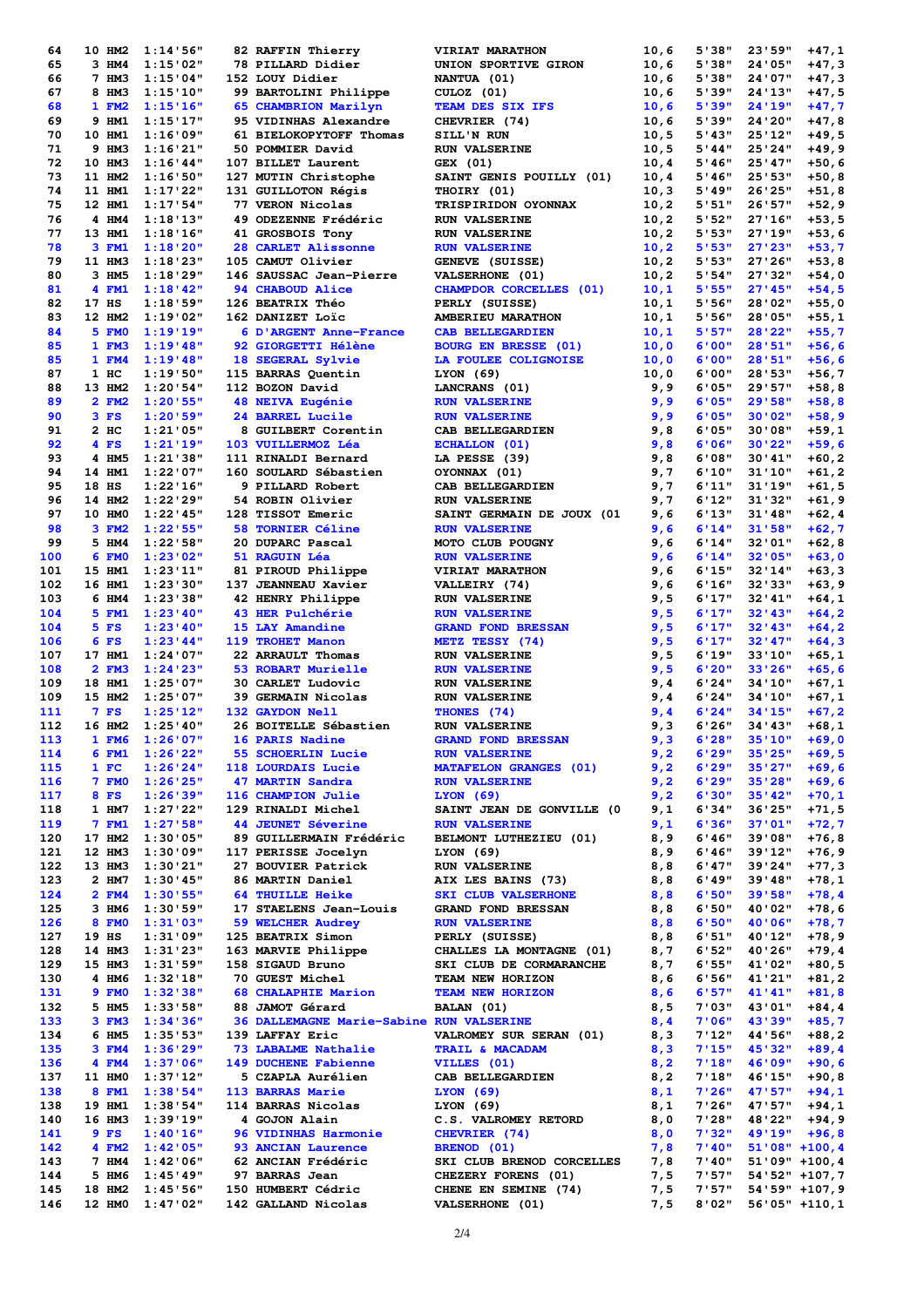| 64  | 10 HM2         | 1:14:56"        | 82 RAFFIN Thierry                                                  | VIRIAT MARATHON                                                                                                                                                                                                                                                                             | 10,6  | 5'38"  | 23'59"            | $+47,1$          |
|-----|----------------|-----------------|--------------------------------------------------------------------|---------------------------------------------------------------------------------------------------------------------------------------------------------------------------------------------------------------------------------------------------------------------------------------------|-------|--------|-------------------|------------------|
| 65  | 3 HM4          | 1:15'02"        | 78 PILLARD Didier                                                  | UNION SPORTIVE GIRON                                                                                                                                                                                                                                                                        | 10,6  | 5'38"  | 24'05"            | $+47,3$          |
| 66  | 7 HM3          | 1:15'04"        | 152 LOUY Didier                                                    | NANTUA (01)                                                                                                                                                                                                                                                                                 | 10,6  | 5'38"  | 24'07"            | $+47,3$          |
| 67  | 8 HM3          | 1:15'10"        | 99 BARTOLINI Philippe                                              | CULOZ (01)                                                                                                                                                                                                                                                                                  | 10,6  | 5'39"  | 24'13"            | $+47,5$          |
| 68  |                |                 |                                                                    |                                                                                                                                                                                                                                                                                             |       | 5'39"  | 24'19"            |                  |
|     | 1 FM2          | 1:15'16"        | 65 CHAMBRION Marilyn                                               | TEAM DES SIX IFS                                                                                                                                                                                                                                                                            | 10, 6 |        |                   | $+47,7$          |
| 69  | 9 HM1          | 1:15'17"        | 95 VIDINHAS Alexandre                                              | CHEVRIER (74)                                                                                                                                                                                                                                                                               | 10,6  | 5'39"  | 24'20"            | $+47,8$          |
| 70  | 10 HM1         | 1:16'09"        | 61 BIELOKOPYTOFF Thomas                                            | SILL'N RUN                                                                                                                                                                                                                                                                                  | 10,5  | 5'43"  | 25'12"            | $+49,5$          |
| 71  | 9 HM3          | 1:16'21"        | 50 POMMIER David                                                   | <b>RUN VALSERINE</b>                                                                                                                                                                                                                                                                        | 10,5  | 5'44"  | 25'24"            | $+49, 9$         |
| 72  | 10 HM3         | 1:16'44"        | 107 BILLET Laurent                                                 | GEX (01)                                                                                                                                                                                                                                                                                    | 10,4  | 5'46"  | 25'47"            | $+50, 6$         |
| 73  | 11 HM2         | 1:16:50"        | 127 MUTIN Christophe                                               | SAINT GENIS POUILLY (01)                                                                                                                                                                                                                                                                    | 10, 4 | 5'46'' | 25'53"            | $+50,8$          |
| 74  | 11 HM1         | 1:17'22"        | 131 GUILLOTON Régis                                                | THOIRY (01)                                                                                                                                                                                                                                                                                 | 10,3  | 5'49"  | 26'25"            | $+51,8$          |
| 75  | 12 HM1         | 1:17:54"        | 77 VERON Nicolas                                                   | TRISPIRIDON OYONNAX                                                                                                                                                                                                                                                                         | 10,2  | 5'51"  | 26'57"            | $+52, 9$         |
| 76  | 4 HM4          | 1:18'13"        | 49 ODEZENNE Frédéric                                               | <b>RUN VALSERINE</b>                                                                                                                                                                                                                                                                        | 10,2  | 5'52"  | 27'16"            | $+53,5$          |
|     |                |                 |                                                                    |                                                                                                                                                                                                                                                                                             |       |        |                   |                  |
| 77  | 13 HM1         | 1:18'16"        | 41 GROSBOIS Tony                                                   | <b>RUN VALSERINE</b>                                                                                                                                                                                                                                                                        | 10,2  | 5'53"  | 27'19"            | $+53,6$          |
| 78  | 3 FM1          | 1:18'20"        | 28 CARLET Alissonne                                                | <b>RUN VALSERINE</b>                                                                                                                                                                                                                                                                        | 10,2  | 5'53"  | 27'23"            | $+53,7$          |
| 79  | 11 HM3         | 1:18'23"        | 105 CAMUT Olivier                                                  | GENEVE (SUISSE)                                                                                                                                                                                                                                                                             | 10, 2 | 5'53"  | 27'26"            | $+53,8$          |
| 80  | 3 HM5          | 1:18'29"        | 146 SAUSSAC Jean-Pierre                                            | VALSERHONE (01)                                                                                                                                                                                                                                                                             | 10,2  | 5'54"  | 27'32"            | $+54,0$          |
| 81  | 4 FM1          | 1:18'42"        | 94 CHABOUD Alice                                                   | CHAMPDOR CORCELLES (01)                                                                                                                                                                                                                                                                     | 10,1  | 5'55"  | 27'45"            | $+54,5$          |
| 82  | 17 HS          | 1:18:59"        | 126 BEATRIX Théo                                                   | PERLY (SUISSE)                                                                                                                                                                                                                                                                              | 10,1  | 5'56"  | 28'02"            | +55,0            |
| 83  | 12 HM2         | 1:19'02"        | 162 DANIZET Loïc                                                   | AMBERIEU MARATHON                                                                                                                                                                                                                                                                           | 10,1  | 5'56"  | 28'05"            | +55,1            |
| 84  | 5 FMO          | 1:19'19"        | 6 D'ARGENT Anne-France                                             | <b>CAB BELLEGARDIEN</b>                                                                                                                                                                                                                                                                     | 10,1  | 5'57"  | 28'22"            | $+55,7$          |
|     |                |                 |                                                                    |                                                                                                                                                                                                                                                                                             |       |        |                   |                  |
| 85  | 1 FM3          | 1:19'48"        | 92 GIORGETTI Hélène                                                | <b>BOURG EN BRESSE (01)</b>                                                                                                                                                                                                                                                                 | 10,0  | 6'00"  | 28'51"            | $+56,6$          |
| 85  | 1 FM4          | 1:19'48"        | 18 SEGERAL Sylvie                                                  | LA FOULEE COLIGNOISE                                                                                                                                                                                                                                                                        | 10,0  | 6'00"  | 28'51"            | $+56,6$          |
| 87  | $1 \text{ HC}$ | 1:19'50"        | 115 BARRAS Quentin                                                 | LYON(69)                                                                                                                                                                                                                                                                                    | 10,0  | 6'00"  | 28'53"            | $+56,7$          |
| 88  | 13 HM2         | 1:20'54"        | 112 BOZON David                                                    | LANCRANS (01)                                                                                                                                                                                                                                                                               | 9,9   | 6'05"  | 29'57"            | $+58,8$          |
| 89  | 2 FM2          | 1:20'55"        | 48 NEIVA Eugénie                                                   | <b>RUN VALSERINE</b>                                                                                                                                                                                                                                                                        | 9,9   | 6'05"  | 29'58"            | $+58,8$          |
| 90  | $3$ FS         | 1:20'59"        | 24 BARREL Lucile                                                   | <b>RUN VALSERINE</b>                                                                                                                                                                                                                                                                        | 9,9   | 6'05"  | 30'02"            | $+58, 9$         |
| 91  | $2$ HC         | 1:21'05"        | 8 GUILBERT Corentin                                                | CAB BELLEGARDIEN                                                                                                                                                                                                                                                                            | 9,8   | 6'05"  | 30'08"            | $+59,1$          |
| 92  | 4 FS           | 1:21'19"        | 103 VUILLERMOZ Léa                                                 | <b>ECHALLON</b> (01)                                                                                                                                                                                                                                                                        |       | 6'06"  | 30'22"            | $+59,6$          |
| 93  | 4 HM5          | 1:21'38"        | 111 RINALDI Bernard                                                | LA PESSE (39)                                                                                                                                                                                                                                                                               | 9,8   | 6'08"  | 30'41"            |                  |
|     |                |                 |                                                                    |                                                                                                                                                                                                                                                                                             | 9,8   |        |                   | $+60, 2$         |
| 94  | 14 HM1         | 1:22'07"        | 160 SOULARD Sébastien                                              | OYONNAX (01)                                                                                                                                                                                                                                                                                | 9,7   | 6'10"  | 31'10''           | $+61, 2$         |
| 95  | 18 HS          | 1:22'16"        | 9 PILLARD Robert                                                   | CAB BELLEGARDIEN                                                                                                                                                                                                                                                                            | 9,7   | 6'11"  | 31'19"            | $+61,5$          |
| 96  | 14 HM2         | 1:22'29"        | 54 ROBIN Olivier                                                   | <b>RUN VALSERINE</b>                                                                                                                                                                                                                                                                        | 9,7   | 6'12"  | 31'32"            | $+61, 9$         |
| 97  | 10 HMO         | $1:22'$ 45"     | 128 TISSOT Emeric                                                  | SAINT GERMAIN DE JOUX (01                                                                                                                                                                                                                                                                   | 9,6   | 6'13"  | 31'48"            | $+62, 4$         |
| 98  | 3 FM2          | 1:22:55"        | 58 TORNIER Céline                                                  | <b>RUN VALSERINE</b>                                                                                                                                                                                                                                                                        | 9,6   | 6'14"  | 31'58"            | $+62,7$          |
| 99  | 5 HM4          | 1:22:58"        | 20 DUPARC Pascal                                                   | MOTO CLUB POUGNY                                                                                                                                                                                                                                                                            | 9,6   | 6'14"  | 32'01"            | $+62,8$          |
| 100 | 6 FMO          | 1:23'02"        | 51 RAGUIN Léa                                                      | <b>RUN VALSERINE</b>                                                                                                                                                                                                                                                                        | 9,6   | 6'14"  | 32'05"            | $+63,0$          |
| 101 | 15 HM1         | 1:23'11"        |                                                                    | VIRIAT MARATHON                                                                                                                                                                                                                                                                             |       | 6'15"  | 32'14"            | $+63,3$          |
|     |                |                 | 81 PIROUD Philippe                                                 |                                                                                                                                                                                                                                                                                             | 9,6   |        |                   |                  |
| 102 | 16 HM1         | 1:23'30"        | 137 JEANNEAU Xavier                                                | VALLEIRY (74)                                                                                                                                                                                                                                                                               | 9,6   | 6'16"  | 32'33"            | $+63, 9$         |
| 103 | 6 HM4          | 1:23'38"        | 42 HENRY Philippe                                                  | <b>RUN VALSERINE</b>                                                                                                                                                                                                                                                                        | 9,5   | 6'17"  | 32'41''           | $+64,1$          |
| 104 | 5 FM1          | 1:23'40"        | 43 HER Pulchérie                                                   | <b>RUN VALSERINE</b>                                                                                                                                                                                                                                                                        | 9,5   | 6'17"  | $32'$ 43"         | $+64, 2$         |
| 104 | 5 FS           | 1:23'40"        | 15 LAY Amandine                                                    | <b>GRAND FOND BRESSAN</b>                                                                                                                                                                                                                                                                   | 9,5   | 6'17"  | $32'$ 43"         | $+64, 2$         |
| 106 | 6 FS           | 1:23'44"        | 119 TROHET Manon                                                   | METZ TESSY (74)                                                                                                                                                                                                                                                                             | 9,5   | 6'17"  | 32'47''           | $+64,3$          |
| 107 | 17 HM1         | 1:24'07"        | 22 ARRAULT Thomas                                                  | <b>RUN VALSERINE</b>                                                                                                                                                                                                                                                                        | 9,5   | 6'19"  | 33'10''           | $+65,1$          |
| 108 | 2 FM3          | 1:24'23"        | 53 ROBART Murielle                                                 | <b>RUN VALSERINE</b>                                                                                                                                                                                                                                                                        | 9,5   | 6'20"  | 33'26"            | $+65, 6$         |
| 109 | 18 HM1         | 1:25'07"        | 30 CARLET Ludovic                                                  | <b>RUN VALSERINE</b>                                                                                                                                                                                                                                                                        | 9,4   | 6'24"  | 34'10''           | $+67,1$          |
|     |                |                 |                                                                    |                                                                                                                                                                                                                                                                                             |       |        |                   |                  |
| 109 | 15 HM2         | 1:25'07"        | 39 GERMAIN Nicolas                                                 | <b>RUN VALSERINE</b>                                                                                                                                                                                                                                                                        | 9,4   | 6'24"  | 34'10''           | $+67,1$          |
| 111 | 7 FS           | 1:25'12"        | 132 GAYDON Nell                                                    | THONES (74)                                                                                                                                                                                                                                                                                 | 9,4   | 6'24"  | 34'15''           | $+67, 2$         |
| 112 | 16 HM2         | 1:25'40"        | 26 BOITELLE Sébastien                                              | <b>RUN VALSERINE</b>                                                                                                                                                                                                                                                                        | 9,3   | 6'26"  | 34'43''           | $+68,1$          |
| 113 |                | 1 FM6 1:26'07"  | <b>16 PARIS Nadine</b>                                             | GRAND FOND BRESSAN                                                                                                                                                                                                                                                                          |       | 6'28"  | 35'10''           | $+69,0$          |
| 114 | 6 FM1          | 1:26'22"        |                                                                    |                                                                                                                                                                                                                                                                                             |       | 6'29"  | 35'25"            | $+69,5$          |
| 115 | 1 F C          |                 | $1:26'24"$ 118 LOURDAIS Lucie                                      |                                                                                                                                                                                                                                                                                             |       | 6'29"  | 35'27"            | $+69,6$          |
| 116 | 7 FMO          | 1:26'25"        | 47 MARTIN Sandra                                                   |                                                                                                                                                                                                                                                                                             |       | 6'29"  | 35'28"            | $+69,6$          |
| 117 | 8 FS           | 1:26'39"        |                                                                    |                                                                                                                                                                                                                                                                                             |       | 6'30"  | 35'42"            | $+70,1$          |
|     |                |                 |                                                                    |                                                                                                                                                                                                                                                                                             |       |        |                   |                  |
| 118 | 1 HM7          | 1:27'22"        |                                                                    | 9,3<br>118 LOURDAIS Lucie RUN VALSERINE 9,2<br>47 MARTIN Sandra<br>116 CHAMPION Julie LYON (69)<br>129 RINALDI Michel SAINT JEAN DE GONVILLE (0 9,1<br>44 JEUNET Séverine RUN VALSERINE 9,1<br>89 GUILLERMAIN Frédéric BELMONT LUBURET 117                                                  |       | 6'34"  | 36'25"            | $+71,5$          |
| 119 | 7 FM1          | 1:27'58"        | <b>44 JEUNET Séverine</b>                                          |                                                                                                                                                                                                                                                                                             |       | 6'36"  | 37'01"            | $+72,7$          |
| 120 | 17 HM2         | 1:30'05"        |                                                                    | 89 GUILLERMAIN Frédéric BELMONT LUTHEZIEU (01) 8,9<br>89 GUILLERMAIN Frédéric BELMONT LUTHEZIEU (01) 8,9 6'46"<br>117 PERISSE Jocelyn LYON (69) 8,9 6'46"<br>27 BOUYER Patrick RUN VALSERINE 8,8 6'49"<br>64 THUILLE Heike SKI CLUB VALSERING 8,8 6'49"<br>17 STAELENS Jean-Louis GRAND FON |       | 6'46"  | 39'08"            | $+76,8$          |
| 121 | 12 HM3         |                 | 1:30'09" 117 PERISSE Jocelyn                                       |                                                                                                                                                                                                                                                                                             |       |        | 39'12"            | $+76, 9$         |
| 122 | 13 HM3         | 1:30'21"        |                                                                    |                                                                                                                                                                                                                                                                                             |       |        | 39'24"            | $+77,3$          |
| 123 | 2 HM7          | $1:30'$ 45"     |                                                                    |                                                                                                                                                                                                                                                                                             |       |        | 39'48"            | $+78,1$          |
| 124 | 2 FM4          | 1:30'55"        |                                                                    |                                                                                                                                                                                                                                                                                             |       |        | 39'58"            | $+78,4$          |
| 125 | 3 HM6          | 1:30'59"        |                                                                    |                                                                                                                                                                                                                                                                                             |       |        | 40'02"            | $+78,6$          |
| 126 | <b>8 FMO</b>   | 1:31'03"        |                                                                    |                                                                                                                                                                                                                                                                                             |       |        | 40'06"            | $+78,7$          |
|     |                |                 |                                                                    |                                                                                                                                                                                                                                                                                             |       |        |                   |                  |
| 127 | $19$ HS        | 1:31'09"        |                                                                    |                                                                                                                                                                                                                                                                                             |       |        | 40'12"            | $+78, 9$         |
| 128 | 14 HM3         | 1:31'23"        |                                                                    |                                                                                                                                                                                                                                                                                             |       |        | 40'26"            | $+79,4$          |
| 129 | 15 HM3         | 1:31'59"        |                                                                    |                                                                                                                                                                                                                                                                                             |       |        | 41'02"            | +80,5            |
| 130 | 4 HM6          | 1:32'18"        | <b>70 GUEST Michel</b>                                             |                                                                                                                                                                                                                                                                                             |       |        | 41'21"            | $+81,2$          |
| 131 | 9 FMO          | 1:32'38"        |                                                                    |                                                                                                                                                                                                                                                                                             |       |        | 41'41"            | $+81,8$          |
| 132 | 5 HM5          | 1:33'58"        | 88 JAMOT Gérard                                                    |                                                                                                                                                                                                                                                                                             |       |        | 43'01"            | $+84, 4$         |
| 133 | 3 FM3          | 1:34'36"        |                                                                    |                                                                                                                                                                                                                                                                                             |       |        | 43'39"            | $+85,7$          |
| 134 | 6 HM5          | 1:35'53"        | 139 LAFFAY Eric                                                    | VALROMEY SUR SERAN $(01)$ 8, 3                                                                                                                                                                                                                                                              |       | 7'12"  | 44'56"            | +88,2            |
| 135 | 3 FM4          |                 | <b>73 LABALME Nathalie</b>                                         |                                                                                                                                                                                                                                                                                             |       | 7'15"  | 45'32"            |                  |
|     |                | 1:36'29"        |                                                                    |                                                                                                                                                                                                                                                                                             |       |        |                   | $+89,4$          |
| 136 | 4 FM4          | 1:37'06"        | 149 DUCHENE Fabienne                                               |                                                                                                                                                                                                                                                                                             |       | 7'18"  | 46'09"            | $+90,6$          |
| 137 | 11 HM0         | 1:37'12"        | 5 CZAPLA Aurélien                                                  |                                                                                                                                                                                                                                                                                             |       | 7'18"  | 46'15"            | $+90,8$          |
| 138 | 8 FM1          | 1:38:54"        | 113 BARRAS Marie                                                   |                                                                                                                                                                                                                                                                                             |       | 7'26"  | 47'57"            | $+94,1$          |
| 138 | 19 HM1         | 1:38'54"        | 114 BARRAS Nicolas<br>4 GOJON Alain                                |                                                                                                                                                                                                                                                                                             |       | 7'26"  | 47'57"            | $+94,1$          |
| 140 | 16 HM3         | 1:39'19"        | 4 GOJON Alain                                                      | VALROMEY SUR SERAN (01)<br>TRAIL & MACADAM<br>3,3<br>VILLES (01)<br>3,2<br>CAB BELLEGARDIEN<br>3,2<br>LYON (69)<br>8,1<br>LYON (69)<br>8,1<br>C.S. VALROMEY RETORD<br>8,0<br>2<br>C.S. VALROMEY RETORD<br>8,0                                                                               |       | 7'28"  | 48'22"            | $+94, 9$         |
| 141 | $9$ FS         |                 | <b>96 VIDINHAS Harmonie</b>                                        |                                                                                                                                                                                                                                                                                             |       |        | $49'19'' + 96,8$  |                  |
| 142 | 4 FM2          |                 | $1:40'16''$ 96 VIDINHAS Harmonie<br>$1:42'05''$ 93 ANCIAN Laurence |                                                                                                                                                                                                                                                                                             |       |        | $51'08" + 100, 4$ |                  |
|     | 7 HM4          | 1:42'06"        | 62 ANCIAN Frédéric                                                 | CHEVRIER (74)<br>SRENOD (01)<br>SRENOD (01)<br>SKI CLUB BRENOD CORCELLES 7,8 7'40"<br>CHEZERY FORENS (01) 7,5 7'57"<br>CHERE EN SEMINE (74) 7,5 7'57"<br>VALSERHONE (01) 7,5 8'02"                                                                                                          |       |        | $51'09" + 100, 4$ |                  |
| 143 |                |                 |                                                                    |                                                                                                                                                                                                                                                                                             |       |        |                   |                  |
| 144 | 5 HM6          | 1:45'49"        | 97 BARRAS Jean                                                     |                                                                                                                                                                                                                                                                                             |       |        |                   | 54'52" +107,7    |
| 145 | 18 HM2         | 1:45'56"        | <b>150 HUMBERT Cédric</b>                                          |                                                                                                                                                                                                                                                                                             |       |        |                   | 54'59" +107,9    |
| 146 |                | 12 HMO 1:47'02" | 142 GALLAND Nicolas                                                |                                                                                                                                                                                                                                                                                             |       |        |                   | $56'05" + 110,1$ |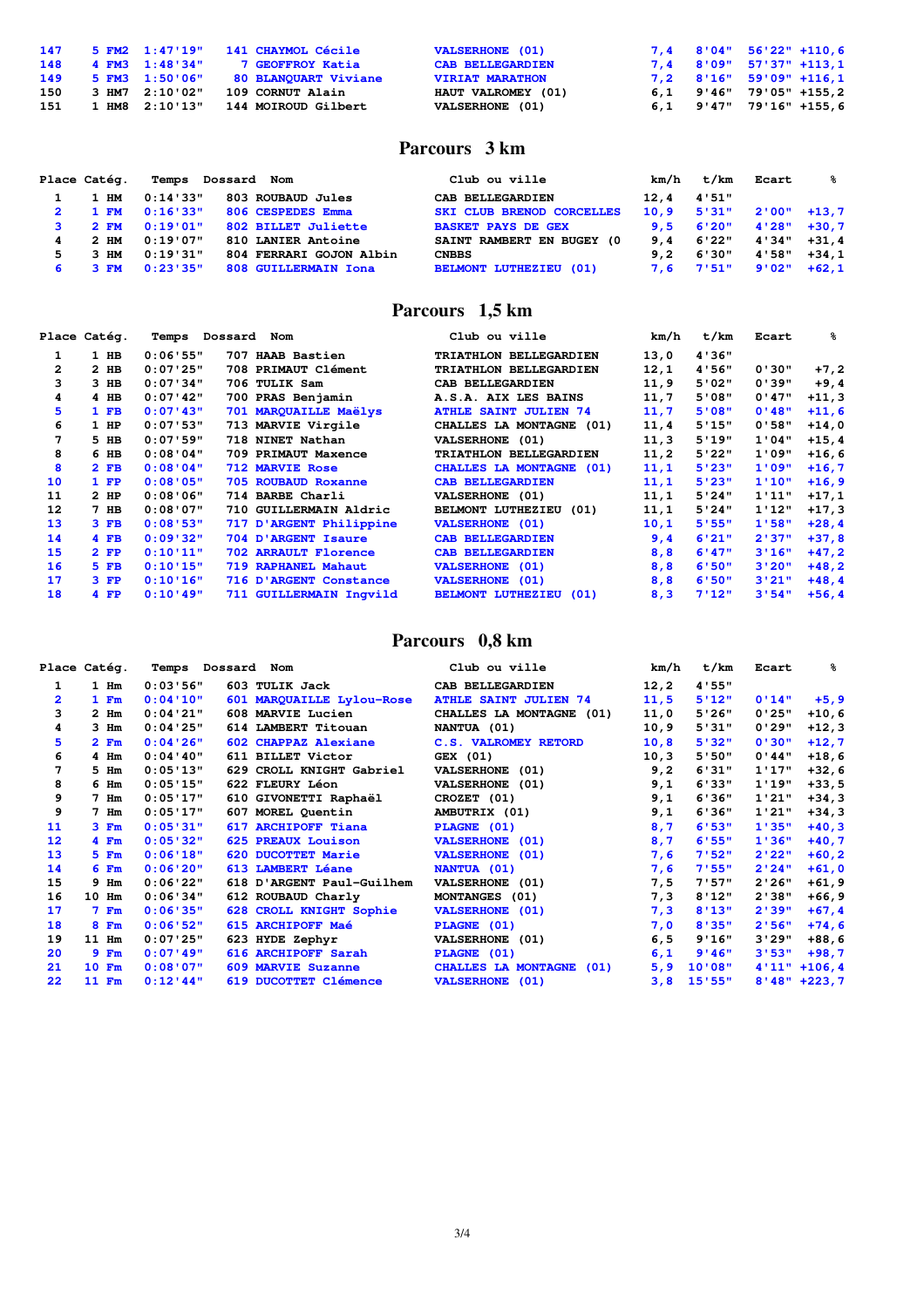| 147 | 5 FM2 1:47'19"     | <b>141 CHAYMOL Cécile</b> | <b>VALSERHONE (01)</b>  |  | $7,4$ 8'04" 56'22" +110,6         |
|-----|--------------------|---------------------------|-------------------------|--|-----------------------------------|
| 148 | 4 FM3 1:48'34"     | 7 GEOFFROY Katia          | <b>CAB BELLEGARDIEN</b> |  | $7,4$ 8'09" 57'37" +113,1         |
| 149 | 5 FM3 1:50'06"     | 80 BLANOUART Viviane      | <b>VIRIAT MARATHON</b>  |  | 7,2 8'16" 59'09" +116,1           |
| 150 | 3 HM7 2:10'02"     | 109 CORNUT Alain          | HAUT VALROMEY (01)      |  | $6.1$ $9'46''$ $79'05''$ $+155.2$ |
| 151 | $1$ HM8 $2:10'13"$ | 144 MOIROUD Gilbert       | VALSERHONE (01)         |  | $6,1$ $9'47''$ $79'16''$ $+155,6$ |

#### **Parcours 3 km**

| Place Catég.<br>Dossard Nom<br>Temps |          |                         | Club ou ville                    |      | t/km  | Ecart | ℁             |
|--------------------------------------|----------|-------------------------|----------------------------------|------|-------|-------|---------------|
| 1 HM                                 | 0:14'33" | 803 ROUBAUD Jules       | CAB BELLEGARDIEN                 | 12.4 | 4'51" |       |               |
| $1 \t{FW}$                           | 0:16'33" | 806 CESPEDES Emma       | <b>SKI CLUB BRENOD CORCELLES</b> | 10.9 | 5'31" |       | $2'00" +13.7$ |
| 2 F M                                | 0:19'01" | 802 BILLET Juliette     | <b>BASKET PAYS DE GEX</b>        | 9.5  | 6'20" | 4'28" | $+30.7$       |
| $2 \,$ HM                            | 0:19'07" | 810 LANIER Antoine      | SAINT RAMBERT EN BUGEY (0        | 9.4  | 6'22" | 4'34" | $+31.4$       |
| $3$ HM                               | 0:19:31" | 804 FERRARI GOJON Albin | <b>CNBBS</b>                     | 9.2  | 6'30" | 4'58" | $+34.1$       |
| 3 FM                                 | 0:23:35" | 808 GUILLERMAIN Iona    | <b>BELMONT LUTHEZIEU (01)</b>    | 7.6  | 7'51" | 9'02" | $+62.1$       |

## **Parcours 1,5 km**

|              | Place Catég. | Dossard<br>Temps | Nom                     | Club ou ville                 | km/h  | t/km  | Ecart  | ℁        |
|--------------|--------------|------------------|-------------------------|-------------------------------|-------|-------|--------|----------|
|              | $1$ HB       | 0:06'55"         | 707 HAAB Bastien        | TRIATHLON BELLEGARDIEN        | 13,0  | 4'36" |        |          |
| $\mathbf{2}$ | $2$ HB       | 0:07'25"         | 708 PRIMAUT Clément     | TRIATHLON BELLEGARDIEN        | 12,1  | 4'56" | 0'30"  | $+7,2$   |
| 3            | $3$ HB       | 0:07'34"         | 706 TULIK Sam           | CAB BELLEGARDIEN              | 11,9  | 5'02" | 0'39"  | $+9,4$   |
| 4            | $4$ HB       | 0:07'42"         | 700 PRAS Benjamin       | A.S.A. AIX LES BAINS          | 11,7  | 5'08" | 0'47"  | $+11,3$  |
| 5            | $1$ FB       | 0:07'43"         | 701 MARQUAILLE Maëlys   | <b>ATHLE SAINT JULIEN 74</b>  | 11,7  | 5'08" | 0'48"  | $+11,6$  |
| 6            | $1$ HP       | 0:07'53"         | 713 MARVIE Virgile      | CHALLES LA MONTAGNE (01)      | 11,4  | 5'15" | 0'58"  | $+14,0$  |
| 7            | 5 HB         | 0:07'59"         | 718 NINET Nathan        | VALSERHONE (01)               | 11, 3 | 5'19" | 1'04"  | $+15, 4$ |
| 8            | 6 HB         | 0:08:04"         | 709 PRIMAUT Maxence     | TRIATHLON BELLEGARDIEN        | 11, 2 | 5'22" | 1'09"  | $+16,6$  |
| 8            | $2$ FB       | 0:08:04"         | <b>712 MARVIE Rose</b>  | CHALLES LA MONTAGNE (01)      | 11,1  | 5'23" | 1'09"  | $+16,7$  |
| 10           | $1$ FP       | 0:08'05"         | 705 ROUBAUD Roxanne     | <b>CAB BELLEGARDIEN</b>       | 11,1  | 5'23" | 1'10'' | $+16, 9$ |
| 11           | $2$ HP       | 0:08'06"         | 714 BARBE Charli        | <b>VALSERHONE (01)</b>        | 11,1  | 5'24" | 1'11'' | $+17,1$  |
| 12           | $7$ HB       | 0:08:07"         | 710 GUILLERMAIN Aldric  | BELMONT LUTHEZIEU (01)        | 11,1  | 5'24" | 1'12"  | $+17,3$  |
| 13           | $3$ FB       | 0:08'53"         | 717 D'ARGENT Philippine | <b>VALSERHONE (01)</b>        | 10,1  | 5'55" | 1'58"  | $+28, 4$ |
| 14           | $4$ FB       | 0:09'32"         | 704 D'ARGENT Isaure     | <b>CAB BELLEGARDIEN</b>       | 9,4   | 6'21" | 2'37"  | $+37,8$  |
| 15           | $2$ FP       | 0:10'11"         | 702 ARRAULT Florence    | <b>CAB BELLEGARDIEN</b>       | 8,8   | 6'47" | 3'16"  | $+47,2$  |
| 16           | $5$ FB       | 0:10'15"         | 719 RAPHANEL Mahaut     | <b>VALSERHONE (01)</b>        | 8,8   | 6'50" | 3'20"  | $+48, 2$ |
| 17           | $3$ $FP$     | 0:10'16"         | 716 D'ARGENT Constance  | <b>VALSERHONE</b> (01)        | 8,8   | 6'50" | 3'21"  | $+48, 4$ |
| 18           | $4$ FP       | $0:10'$ 49"      | 711 GUILLERMAIN Inqvild | <b>BELMONT LUTHEZIEU (01)</b> | 8,3   | 7'12" | 3'54"  | $+56, 4$ |

## **Parcours 0,8 km**

|                | Place Catég.    |             | Temps Dossard Nom         | Club ou ville                | km/h  | t/km   | Ecart  | ℁                |
|----------------|-----------------|-------------|---------------------------|------------------------------|-------|--------|--------|------------------|
|                | 1 Hm            | 0:03:56"    | 603 TULIK Jack            | CAB BELLEGARDIEN             | 12, 2 | 4'55"  |        |                  |
| $\overline{2}$ | 1 Fm            | 0:04'10"    | 601 MARQUAILLE Lylou-Rose | <b>ATHLE SAINT JULIEN 74</b> | 11,5  | 5'12"  | 0'14"  | $+5, 9$          |
| 3              | $2$ Hm          | 0:04'21"    | 608 MARVIE Lucien         | CHALLES LA MONTAGNE (01)     | 11,0  | 5'26"  | 0'25"  | $+10,6$          |
| 4              | $3$ Hm          | 0:04'25"    | 614 LAMBERT Titouan       | NANTUA (01)                  | 10, 9 | 5'31"  | 0'29"  | $+12,3$          |
| 5              | 2 Fm            | 0:04'26"    | 602 CHAPPAZ Alexiane      | C.S. VALROMEY RETORD         | 10, 8 | 5'32"  | 0'30"  | $+12,7$          |
| 6              | 4 Hm            | 0:04:40"    | 611 BILLET Victor         | GEX (01)                     | 10, 3 | 5'50"  | 0'44"  | $+18,6$          |
| 7              | 5 Hm            | 0:05'13"    | 629 CROLL KNIGHT Gabriel  | VALSERHONE (01)              | 9,2   | 6'31"  | 1'17"  | $+32,6$          |
| 8              | 6 <sub>Im</sub> | 0:05'15"    | 622 FLEURY Léon           | VALSERHONE (01)              | 9,1   | 6'33"  | 1'19"  | $+33,5$          |
| 9              | $7$ Hm          | 0:05'17"    | 610 GIVONETTI Raphaël     | CROZET (01)                  | 9,1   | 6'36"  | 1'21"  | $+34,3$          |
| 9              | 7 Hm            | 0:05'17"    | 607 MOREL Quentin         | AMBUTRIX (01)                | 9,1   | 6'36"  | 1'21"  | $+34,3$          |
| 11             | $3 \text{ Fm}$  | 0:05'31"    | 617 ARCHIPOFF Tiana       | PLAGNE (01)                  | 8,7   | 6'53"  | 1'35"  | $+40,3$          |
| 12             | $4 \text{ Fm}$  | 0:05'32"    | 625 PREAUX Louison        | <b>VALSERHONE</b> (01)       | 8,7   | 6'55"  | 1'36"  | $+40,7$          |
| 13             | 5 Fm            | 0:06'18"    | 620 DUCOTTET Marie        | <b>VALSERHONE</b> (01)       | 7,6   | 7'52"  | 2'22"  | $+60, 2$         |
| 14             | 6 Fm            | 0:06'20"    | 613 LAMBERT Léane         | <b>NANTUA (01)</b>           | 7,6   | 7:55"  | 2'24"  | $+61,0$          |
| 15             | $9$ Hm          | 0:06'22"    | 618 D'ARGENT Paul-Guilhem | VALSERHONE (01)              | 7,5   | 7:57"  | 2'26"  | $+61, 9$         |
| 16             | 10 Hm           | 0:06'34"    | 612 ROUBAUD Charly        | MONTANGES (01)               | 7,3   | 8'12"  | 2'38"  | $+66, 9$         |
| 17             | 7 Fm            | 0:06'35"    | 628 CROLL KNIGHT Sophie   | <b>VALSERHONE</b> (01)       | 7,3   | 8'13'' | 2'39"  | $+67, 4$         |
| 18             | 8 Fm            | 0:06'52"    | 615 ARCHIPOFF Maé         | PLAGNE (01)                  | 7,0   | 8'35"  | 2'56"  | $+74,6$          |
| 19             | $11$ Hm         | 0:07'25"    | 623 HYDE Zephyr           | VALSERHONE (01)              | 6, 5  | 9'16"  | 3'29"  | $+88,6$          |
| 20             | 9 Fm            | 0:07'49"    | 616 ARCHIPOFF Sarah       | PLAGNE (01)                  | 6,1   | 9'46"  | 3'53'' | $+98,7$          |
| 21             | 10 Fm           | 0:08:07"    | 609 MARVIE Suzanne        | CHALLES LA MONTAGNE (01)     | 5,9   | 10'08" | 4'11'' | $+106, 4$        |
| 22             | 11 Fm           | $0:12'$ 44" | 619 DUCOTTET Clémence     | <b>VALSERHONE</b> (01)       | 3,8   | 15'55" |        | $8'48'' + 223,7$ |